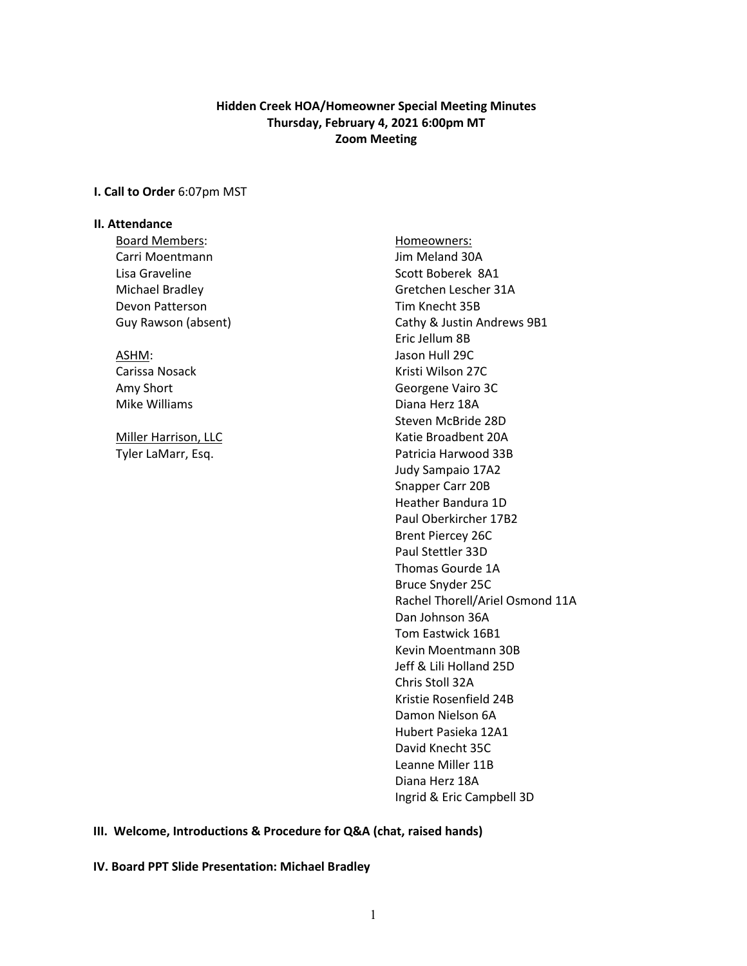## **Hidden Creek HOA/Homeowner Special Meeting Minutes Thursday, February 4, 2021 6:00pm MT Zoom Meeting**

## **I. Call to Order** 6:07pm MST

## **II. Attendance**

Board Members: North Members: No. 1997 - Homeowners: Homeowners: Carri Moentmann **Carri Moentmann** Jim Meland 30A Lisa Graveline National Accounts Scott Boberek 8A1 Devon Patterson National Communication Control of Tim Knecht 35B

Michael Bradley Gretchen Lescher 31A Guy Rawson (absent) Cathy & Justin Andrews 9B1 Eric Jellum 8B ASHM: Jason Hull 29C Carissa Nosack **Kristi Wilson 27C** Amy Short **Georgene** Vairo 3C Mike Williams **Diana Herz** 18A Steven McBride 28D Miller Harrison, LLC **Katie Broadbent 20A** Tyler LaMarr, Esq. No. 2006 and Samuel Patricia Harwood 33B Judy Sampaio 17A2 Snapper Carr 20B Heather Bandura 1D Paul Oberkircher 17B2 Brent Piercey 26C Paul Stettler 33D Thomas Gourde 1A Bruce Snyder 25C Rachel Thorell/Ariel Osmond 11A Dan Johnson 36A Tom Eastwick 16B1 Kevin Moentmann 30B Jeff & Lili Holland 25D Chris Stoll 32A Kristie Rosenfield 24B Damon Nielson 6A Hubert Pasieka 12A1 David Knecht 35C Leanne Miller 11B Diana Herz 18A Ingrid & Eric Campbell 3D

**III. Welcome, Introductions & Procedure for Q&A (chat, raised hands)**

**IV. Board PPT Slide Presentation: Michael Bradley**